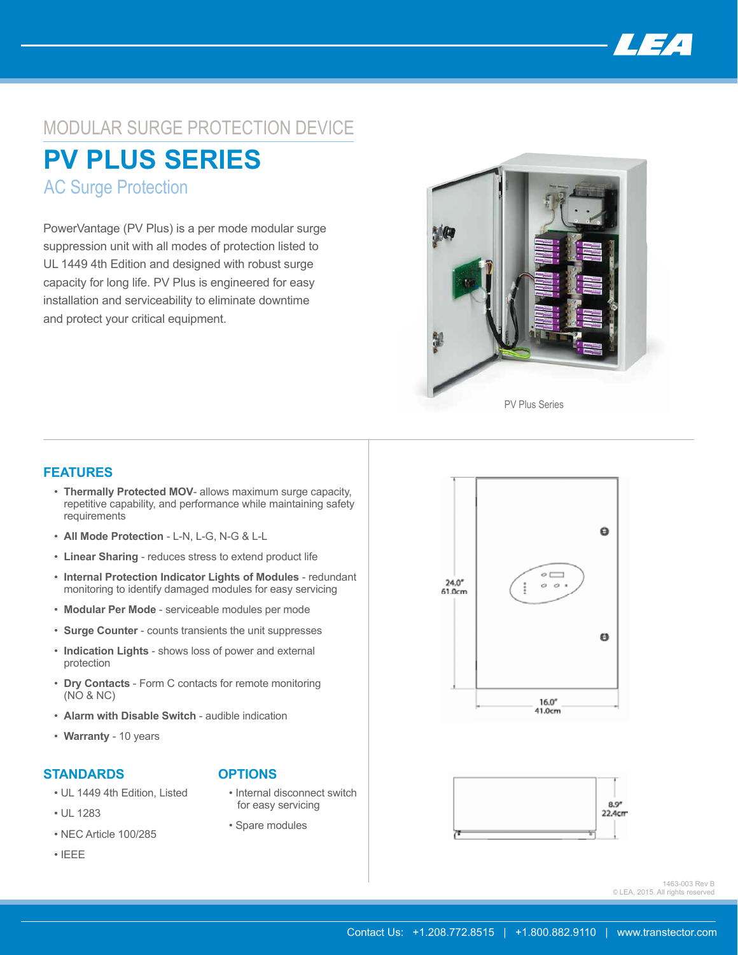

# MODULAR SURGE PROTECTION DEVICE **PV PLUS SERIES**

AC Surge Protection

PowerVantage (PV Plus) is a per mode modular surge suppression unit with all modes of protection listed to UL 1449 4th Edition and designed with robust surge capacity for long life. PV Plus is engineered for easy installation and serviceability to eliminate downtime and protect your critical equipment.



### **FEATURES**

- **Thermally Protected MOV** allows maximum surge capacity, repetitive capability, and performance while maintaining safety requirements
- **All Mode Protection**  L-N, L-G, N-G & L-L
- **Linear Sharing** reduces stress to extend product life
- **Internal Protection Indicator Lights of Modules**  redundant monitoring to identify damaged modules for easy servicing
- **Modular Per Mode** serviceable modules per mode
- **Surge Counter** counts transients the unit suppresses
- **Indication Lights** shows loss of power and external protection
- **Dry Contacts** Form C contacts for remote monitoring (NO & NC)
- **Alarm with Disable Switch** audible indication
- **Warranty** 10 years

#### **STANDARDS**

- UL 1449 4th Edition, Listed
- UL 1283
- NEC Article 100/285
- IEEE

## **OPTIONS**

- Internal disconnect switch for easy servicing
- Spare modules





1463-003 Rev B © LEA, 2015. All rights reserved